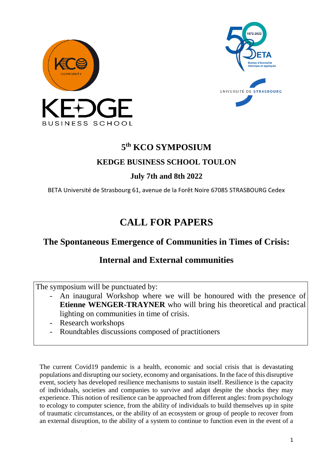



# **5 th KCO SYMPOSIUM**

## **KEDGE BUSINESS SCHOOL TOULON**

# **July 7th and 8th 2022**

BETA Université de Strasbourg 61, avenue de la Forêt Noire 67085 STRASBOURG Cedex

# **CALL FOR PAPERS**

# **The Spontaneous Emergence of Communities in Times of Crisis:**

# **Internal and External communities**

The symposium will be punctuated by:

- An inaugural Workshop where we will be honoured with the presence of **Etienne WENGER-TRAYNER** who will bring his theoretical and practical lighting on communities in time of crisis.
- Research workshops
- Roundtables discussions composed of practitioners

The current Covid19 pandemic is a health, economic and social crisis that is devastating populations and disrupting our society, economy and organisations. In the face of this disruptive event, society has developed resilience mechanisms to sustain itself. Resilience is the capacity of individuals, societies and companies to survive and adapt despite the shocks they may experience. This notion of resilience can be approached from different angles: from psychology to ecology to computer science, from the ability of individuals to build themselves up in spite of traumatic circumstances, or the ability of an ecosystem or group of people to recover from an external disruption, to the ability of a system to continue to function even in the event of a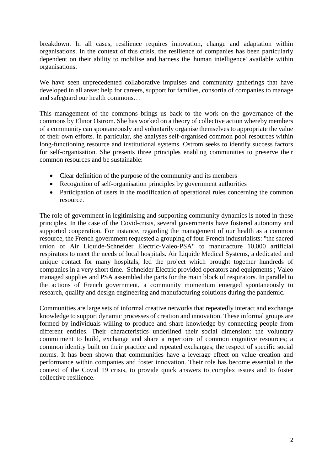breakdown. In all cases, resilience requires innovation, change and adaptation within organisations. In the context of this crisis, the resilience of companies has been particularly dependent on their ability to mobilise and harness the 'human intelligence' available within organisations.

We have seen unprecedented collaborative impulses and community gatherings that have developed in all areas: help for careers, support for families, consortia of companies to manage and safeguard our health commons…

This management of the commons brings us back to the work on the governance of the commons by Elinor Ostrom. She has worked on a theory of collective action whereby members of a community can spontaneously and voluntarily organise themselves to appropriate the value of their own efforts. In particular, she analyses self-organised common pool resources within long-functioning resource and institutional systems. Ostrom seeks to identify success factors for self-organisation. She presents three principles enabling communities to preserve their common resources and be sustainable:

- Clear definition of the purpose of the community and its members
- Recognition of self-organisation principles by government authorities
- Participation of users in the modification of operational rules concerning the common resource.

The role of government in legitimising and supporting community dynamics is noted in these principles. In the case of the Covid-crisis, several governments have fostered autonomy and supported cooperation. For instance, regarding the management of our health as a common resource, the French government requested a grouping of four French industrialists: "the sacred union of Air Liquide-Schneider Electric-Valeo-PSA" to manufacture 10,000 artificial respirators to meet the needs of local hospitals. Air Liquide Medical Systems, a dedicated and unique contact for many hospitals, led the project which brought together hundreds of companies in a very short time. Schneider Electric provided operators and equipments ; Valeo managed supplies and PSA assembled the parts for the main block of respirators. In parallel to the actions of French government, a community momentum emerged spontaneously to research, qualify and design engineering and manufacturing solutions during the pandemic.

Communities are large sets of informal creative networks that repeatedly interact and exchange knowledge to support dynamic processes of creation and innovation. These informal groups are formed by individuals willing to produce and share knowledge by connecting people from different entities. Their characteristics underlined their social dimension: the voluntary commitment to build, exchange and share a repertoire of common cognitive resources; a common identity built on their practice and repeated exchanges; the respect of specific social norms. It has been shown that communities have a leverage effect on value creation and performance within companies and foster innovation. Their role has become essential in the context of the Covid 19 crisis, to provide quick answers to complex issues and to foster collective resilience.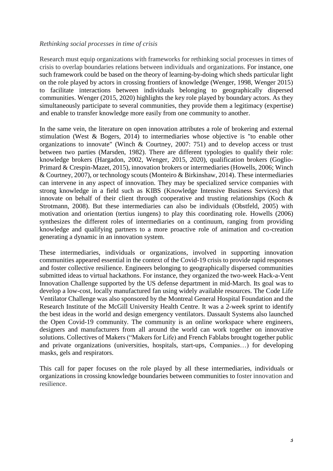### *Rethinking social processes in time of crisis*

Research must equip organizations with frameworks for rethinking social processes in times of crisis to overlap boundaries relations between individuals and organizations. For instance, one such framework could be based on the theory of learning-by-doing which sheds particular light on the role played by actors in crossing frontiers of knowledge (Wenger, 1998, Wenger 2015) to facilitate interactions between individuals belonging to geographically dispersed communities. Wenger (2015, 2020) highlights the key role played by boundary actors. As they simultaneously participate to several communities, they provide them a legitimacy (expertise) and enable to transfer knowledge more easily from one community to another.

In the same vein, the literature on open innovation attributes a role of brokering and external stimulation (West & Bogers, 2014) to intermediaries whose objective is "to enable other organizations to innovate" (Winch & Courtney, 2007: 751) and to develop access or trust between two parties (Marsden, 1982). There are different typologies to qualify their role: knowledge brokers (Hargadon, 2002, Wenger, 2015, 2020), qualification brokers (Goglio-Primard & Crespin-Mazet, 2015), innovation brokers or intermediaries (Howells, 2006; Winch & Courtney, 2007), or technology scouts (Monteiro & Birkinshaw, 2014). These intermediaries can intervene in any aspect of innovation. They may be specialized service companies with strong knowledge in a field such as KIBS (Knowledge Intensive Business Services) that innovate on behalf of their client through cooperative and trusting relationships (Koch & Strotmann, 2008). But these intermediaries can also be individuals (Obstfeld, 2005) with motivation and orientation (tertius iungens) to play this coordinating role. Howells (2006) synthesizes the different roles of intermediaries on a continuum, ranging from providing knowledge and qualifying partners to a more proactive role of animation and co-creation generating a dynamic in an innovation system.

These intermediaries, individuals or organizations, involved in supporting innovation communities appeared essential in the context of the Covid-19 crisis to provide rapid responses and foster collective resilience. Engineers belonging to geographically dispersed communities submitted ideas to virtual hackathons. For instance, they organized the two-week Hack-a-Vent Innovation Challenge supported by the US defense department in mid-March. Its goal was to develop a low-cost, locally manufactured fan using widely available resources. The Code Life Ventilator Challenge was also sponsored by the Montreal General Hospital Foundation and the Research Institute of the McGill University Health Centre. It was a 2-week sprint to identify the best ideas in the world and design emergency ventilators. Dassault Systems also launched the Open Covid-19 community. The community is an online workspace where engineers, designers and manufacturers from all around the world can work together on innovative solutions. Collectives of Makers ("Makers for Life) and French Fablabs brought together public and private organizations (universities, hospitals, start-ups, Companies…) for developing masks, gels and respirators.

This call for paper focuses on the role played by all these intermediaries, individuals or organizations in crossing knowledge boundaries between communities to foster innovation and resilience.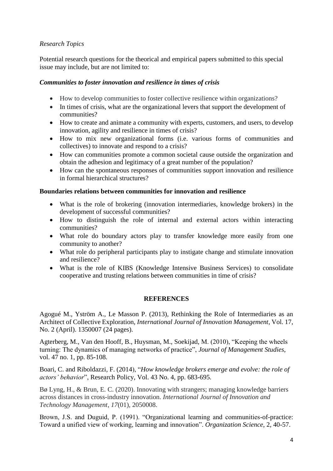### *Research Topics*

Potential research questions for the theorical and empirical papers submitted to this special issue may include, but are not limited to:

### *Communities to foster innovation and resilience in times of crisis*

- How to develop communities to foster collective resilience within organizations?
- In times of crisis, what are the organizational levers that support the development of communities?
- How to create and animate a community with experts, customers, and users, to develop innovation, agility and resilience in times of crisis?
- How to mix new organizational forms (i.e. various forms of communities and collectives) to innovate and respond to a crisis?
- How can communities promote a common societal cause outside the organization and obtain the adhesion and legitimacy of a great number of the population?
- How can the spontaneous responses of communities support innovation and resilience in formal hierarchical structures?

### **Boundaries relations between communities for innovation and resilience**

- What is the role of brokering (innovation intermediaries, knowledge brokers) in the development of successful communities?
- How to distinguish the role of internal and external actors within interacting communities?
- What role do boundary actors play to transfer knowledge more easily from one community to another?
- What role do peripheral participants play to instigate change and stimulate innovation and resilience?
- What is the role of KIBS (Knowledge Intensive Business Services) to consolidate cooperative and trusting relations between communities in time of crisis?

### **REFERENCES**

Agogué M., Yström A., Le Masson P. (2013), Rethinking the Role of Intermediaries as an Architect of Collective Exploration, *International Journal of Innovation Management*, Vol. 17, No. 2 (April). 1350007 (24 pages).

Agterberg, M., Van den Hooff, B., Huysman, M., Soekijad, M. (2010), "Keeping the wheels turning: The dynamics of managing networks of practice", *Journal of Management Studies*, vol. 47 no. 1, pp. 85-108.

Boari, C. and Riboldazzi, F. (2014), "*How knowledge brokers emerge and evolve: the role of actors' behavior*", Research Policy, Vol. 43 No. 4, pp. 683-695.

Bø Lyng, H., & Brun, E. C. (2020). Innovating with strangers; managing knowledge barriers across distances in cross-industry innovation. *International Journal of Innovation and Technology Management*, *17*(01), 2050008.

Brown, J.S. and Duguid, P. (1991). "Organizational learning and communities-of-practice: Toward a unified view of working, learning and innovation". *Organization Science*, 2, 40-57.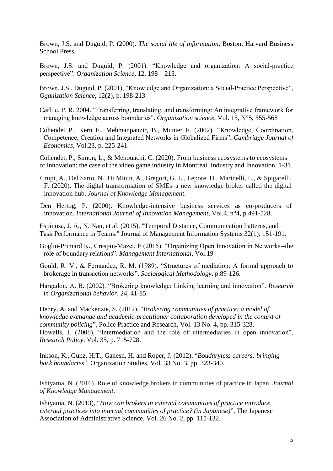Brown, J.S. and Duguid, P. (2000). *The social life of information,* Boston: Harvard Business School Press.

Brown, J.S. and Duguid, P. (2001). "Knowledge and organization: A social-practice perspective". *Organization Science,* 12, 198 – 213.

Brown, J.S., Duguid, P. (2001), "Knowledge and Organization: a Social-Practice Perspective", *Oganization Science*, 12(2), p. 198-213.

- Carlile, P. R. 2004. "Transferring, translating, and transforming: An integrative framework for managing knowledge across boundaries". *Organization science*, Vol. 15, N°5, 555-568
- Cohendet P., Kern F., Mehmanpanzir, B., Munier F. (2002). "Knowledge, Coordination, Competence, Creation and Integrated Networks in Globalized Firms", *Cambridge Journal of Economics*, Vol.23, p. 225-241.

Cohendet, P., Simon, L., & Mehouachi, C. (2020). From business ecosystems to ecosystems of innovation: the case of the video game industry in Montréal. Industry and Innovation, 1-31.

Crupi, A., Del Sarto, N., Di Minin, A., Gregori, G. L., Lepore, D., Marinelli, L., & Spigarelli, F. (2020). The digital transformation of SMEs–a new knowledge broker called the digital innovation hub. *Journal of Knowledge Management*.

Den Hertog, P. (2000). Knowledge-intensive business services as co-producers of innovation. *International Journal of Innovation Management*, Vol.4, n°4, p 491-528.

Espinosa, J. A., N. Nan, et al. (2015). "Temporal Distance, Communication Patterns, and Task Performance in Teams." Journal of Management Information Systems 32(1): 151-191.

Goglio-Primard K., Crespin-Mazet, F (2015). "Organizing Open Innovation in Networks--the role of boundary relations". *Management International*, Vol.19

Gould, R. V., & Fernandez, R. M. (1989). "Structures of mediation: A formal approach to brokerage in transaction networks". *Sociological Methodology*, p.89-126.

Hargadon, A. B. (2002). "Brokering knowledge: Linking learning and innovation". *Research in Organizational behavior*, 24, 41-85.

Henry, A. and Mackenzie, S. (2012), "*Brokering communities of practice: a model of knowledge exchange and academic-practitioner collaboration developed in the context of community policing*", Police Practice and Research, Vol. 13 No. 4, pp. 315-328. Howells, J. (2006), "Intermediation and the role of intermediaries in open innovation", *Research Policy*, Vol. 35, p. 715-728.

Inkson, K., Gunz, H.T., Ganesh, H. and Roper, J. (2012), "*Boudaryless careers: bringing back boundaries*", Organization Studies, Vol. 33 No. 3, pp. 323-340.

Ishiyama, N. (2016). Role of knowledge brokers in communities of practice in Japan. *Journal of Knowledge Management*.

Ishiyama, N. (2013), "*How can brokers in external communities of practice introduce external practices into internal communities of practice? (in Japanese)*", The Japanese Association of Administrative Science, Vol. 26 No. 2, pp. 115-132.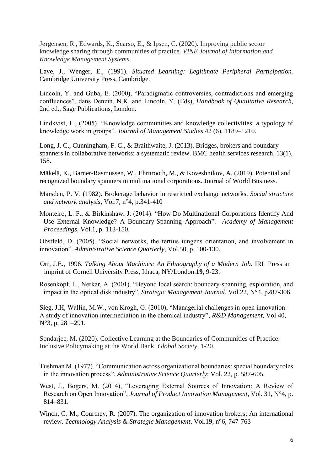Jørgensen, R., Edwards, K., Scarso, E., & Ipsen, C. (2020). Improving public sector knowledge sharing through communities of practice. *VINE Journal of Information and Knowledge Management Systems*.

Lave, J., Wenger, E., (1991). *Situated Learning: Legitimate Peripheral Participation.* Cambridge University Press, Cambridge.

Lincoln, Y. and Guba, E. (2000), "Paradigmatic controversies, contradictions and emerging confluences", dans Denzin, N.K. and Lincoln, Y. (Eds), *Handbook of Qualitative Research*, 2nd ed., Sage Publications, London.

Lindkvist, L., (2005). "Knowledge communities and knowledge collectivities: a typology of knowledge work in groups". *Journal of Management Studies* 42 (6), 1189–1210.

Long, J. C., Cunningham, F. C., & Braithwaite, J. (2013). Bridges, brokers and boundary spanners in collaborative networks: a systematic review. BMC health services research, 13(1), 158.

Mäkelä, K., Barner-Rasmussen, W., Ehrnrooth, M., & Koveshnikov, A. (2019). Potential and recognized boundary spanners in multinational corporations. Journal of World Business.

- Marsden, P. V. (1982). Brokerage behavior in restricted exchange networks. *Social structure and network analysis*, Vol.7, n°4, p.341-410
- Monteiro, L. F., & Birkinshaw, J. (2014). ["How Do Multinational Corporations Identify And](https://scholar.google.com/scholar?oi=bibs&cluster=7176272888112907286&btnI=1&hl=fr)  [Use External Knowledge? A Boundary-Spanning Approach"](https://scholar.google.com/scholar?oi=bibs&cluster=7176272888112907286&btnI=1&hl=fr). *Academy of Management Proceedings*, Vol.1, p. 113-150.

Obstfeld, D. (2005). "Social networks, the tertius iungens orientation, and involvement in innovation". *Administrative Science Quarterly*, Vol.50, p. 100-130.

Orr, J.E., 1996. *Talking About Machines: An Ethnography of a Modern Job*. IRL Press an imprint of Cornell University Press, Ithaca, NY/London.**19**, 9-23.

Rosenkopf, L., Nerkar, A. (2001). "Beyond local search: boundary‐spanning, exploration, and impact in the optical disk industry". *Strategic Management Journal*, Vol.22, N°4, p287-306.

Sieg, J.H, Wallin, M.W., von Krogh, G. (2010), "Managerial challenges in open innovation: A study of innovation intermediation in the chemical industry", *R&D Management*, Vol 40, N°3, p. 281–291.

Sondarjee, M. (2020). Collective Learning at the Boundaries of Communities of Practice: Inclusive Policymaking at the World Bank. *Global Society*, 1-20.

Tushman M. (1977). "Communication across organizational boundaries: special boundary roles in the innovation process". *Administrative Science Quarterly*; Vol. 22, p. 587-605.

West, J., Bogers, M. (2014), "Leveraging External Sources of Innovation: A Review of Research on Open Innovation", *Journal of Product Innovation Management*, Vol. 31, N°4, p. 814–831.

Winch, G. M., Courtney, R. (2007). The organization of innovation brokers: An international review. *Technology Analysis & Strategic Management*, Vol.19, n°6, 747-763